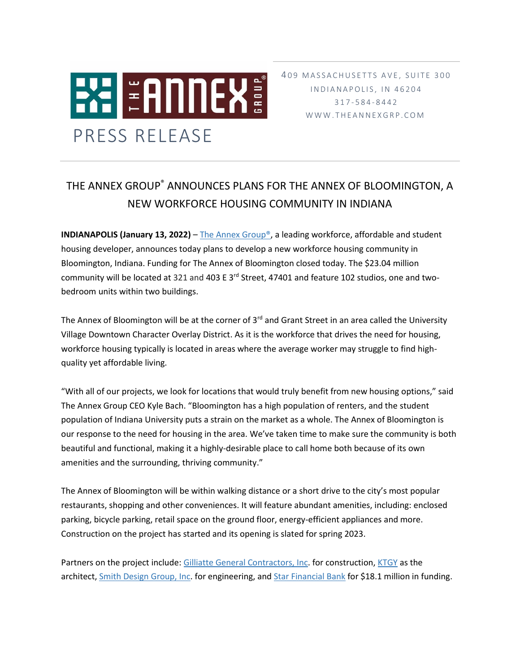

409 MASSACHUSETTS AVE, SUITE 300 I N D I A N A P O L I S, I N 4 6 2 0 4 317 - 5 8 4 - 8 4 4 2 W W W . THE A N N E X G R P . C O M

## THE ANNEX GROUP® ANNOUNCES PLANS FOR THE ANNEX OF BLOOMINGTON, A NEW WORKFORCE HOUSING COMMUNITY IN INDIANA

**INDIANAPOLIS (January 13, 2022)** – The Annex Group<sup>®</sup>, a leading workforce, affordable and student housing developer, announces today plans to develop a new workforce housing community in Bloomington, Indiana. Funding for The Annex of Bloomington closed today. The \$23.04 million community will be located at 321 and 403 E 3<sup>rd</sup> Street, 47401 and feature 102 studios, one and twobedroom units within two buildings.

The Annex of Bloomington will be at the corner of 3<sup>rd</sup> and Grant Street in an area called the University Village Downtown Character Overlay District. As it is the workforce that drives the need for housing, workforce housing typically is located in areas where the average worker may struggle to find highquality yet affordable living.

"With all of our projects, we look for locations that would truly benefit from new housing options," said The Annex Group CEO Kyle Bach. "Bloomington has a high population of renters, and the student population of Indiana University puts a strain on the market as a whole. The Annex of Bloomington is our response to the need for housing in the area. We've taken time to make sure the community is both beautiful and functional, making it a highly-desirable place to call home both because of its own amenities and the surrounding, thriving community."

The Annex of Bloomington will be within walking distance or a short drive to the city's most popular restaurants, shopping and other conveniences. It will feature abundant amenities, including: enclosed parking, bicycle parking, retail space on the ground floor, energy-efficient appliances and more. Construction on the project has started and its opening is slated for spring 2023.

Partners on the project include: [Gilliatte General Contractors, Inc.](https://www.gilliatte.com/) for construction[, KTGY](https://ktgy.com/) as the architect, [Smith Design Group, Inc.](https://smithdginc.com/) for engineering, an[d Star Financial Bank](https://www.starfinancial.com/) for \$18.1 million in funding.